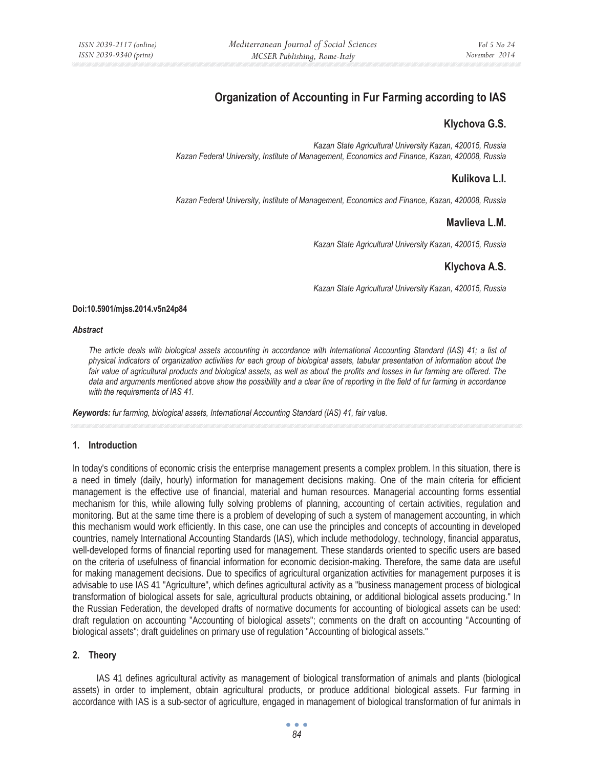# **Organization of Accounting in Fur Farming according to IAS**

# **Klychova G.S.**

*Kazan State Agricultural University Kazan, 420015, Russia Kazan Federal University, Institute of Management, Economics and Finance, Kazan, 420008, Russia* 

# **Kulikova L.I.**

*Kazan Federal University, Institute of Management, Economics and Finance, Kazan, 420008, Russia* 

# **Mavlieva L.M.**

*Kazan State Agricultural University Kazan, 420015, Russia* 

# **Klychova A.S.**

*Kazan State Agricultural University Kazan, 420015, Russia* 

#### **Doi:10.5901/mjss.2014.v5n24p84**

#### *Abstract*

*The article deals with biological assets accounting in accordance with International Accounting Standard (IAS) 41; a list of physical indicators of organization activities for each group of biological assets, tabular presentation of information about the*  fair value of agricultural products and biological assets, as well as about the profits and losses in fur farming are offered. The *data and arguments mentioned above show the possibility and a clear line of reporting in the field of fur farming in accordance with the requirements of IAS 41.* 

*Keywords: fur farming, biological assets, International Accounting Standard (IAS) 41, fair value.* 

# **1. Introduction**

In today's conditions of economic crisis the enterprise management presents a complex problem. In this situation, there is a need in timely (daily, hourly) information for management decisions making. One of the main criteria for efficient management is the effective use of financial, material and human resources. Managerial accounting forms essential mechanism for this, while allowing fully solving problems of planning, accounting of certain activities, regulation and monitoring. But at the same time there is a problem of developing of such a system of management accounting, in which this mechanism would work efficiently. In this case, one can use the principles and concepts of accounting in developed countries, namely International Accounting Standards (IAS), which include methodology, technology, financial apparatus, well-developed forms of financial reporting used for management. These standards oriented to specific users are based on the criteria of usefulness of financial information for economic decision-making. Therefore, the same data are useful for making management decisions. Due to specifics of agricultural organization activities for management purposes it is advisable to use IAS 41 "Agriculture", which defines agricultural activity as a "business management process of biological transformation of biological assets for sale, agricultural products obtaining, or additional biological assets producing." In the Russian Federation, the developed drafts of normative documents for accounting of biological assets can be used: draft regulation on accounting "Accounting of biological assets"; comments on the draft on accounting "Accounting of biological assets"; draft guidelines on primary use of regulation "Accounting of biological assets."

# **2. Theory**

IAS 41 defines agricultural activity as management of biological transformation of animals and plants (biological assets) in order to implement, obtain agricultural products, or produce additional biological assets. Fur farming in accordance with IAS is a sub-sector of agriculture, engaged in management of biological transformation of fur animals in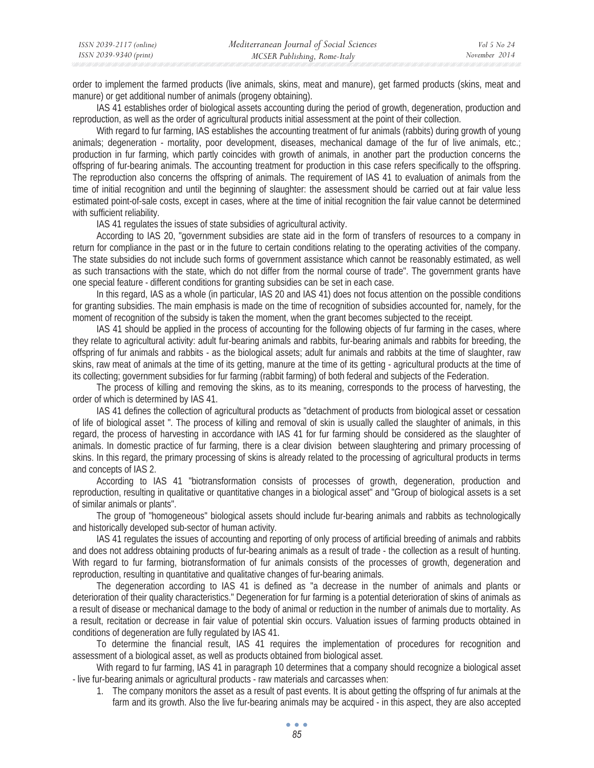| ISSN 2039-2117 (online) | Mediterranean Journal of Social Sciences | Vol 5 No 24   |
|-------------------------|------------------------------------------|---------------|
| ISSN 2039-9340 (print)  | MCSER Publishing, Rome-Italy             | November 2014 |

order to implement the farmed products (live animals, skins, meat and manure), get farmed products (skins, meat and manure) or get additional number of animals (progeny obtaining).

IAS 41 establishes order of biological assets accounting during the period of growth, degeneration, production and reproduction, as well as the order of agricultural products initial assessment at the point of their collection.

With regard to fur farming, IAS establishes the accounting treatment of fur animals (rabbits) during growth of young animals; degeneration - mortality, poor development, diseases, mechanical damage of the fur of live animals, etc.; production in fur farming, which partly coincides with growth of animals, in another part the production concerns the offspring of fur-bearing animals. The accounting treatment for production in this case refers specifically to the offspring. The reproduction also concerns the offspring of animals. The requirement of IAS 41 to evaluation of animals from the time of initial recognition and until the beginning of slaughter: the assessment should be carried out at fair value less estimated point-of-sale costs, except in cases, where at the time of initial recognition the fair value cannot be determined with sufficient reliability.

IAS 41 regulates the issues of state subsidies of agricultural activity.

According to IAS 20, "government subsidies are state aid in the form of transfers of resources to a company in return for compliance in the past or in the future to certain conditions relating to the operating activities of the company. The state subsidies do not include such forms of government assistance which cannot be reasonably estimated, as well as such transactions with the state, which do not differ from the normal course of trade". The government grants have one special feature - different conditions for granting subsidies can be set in each case.

In this regard, IAS as a whole (in particular, IAS 20 and IAS 41) does not focus attention on the possible conditions for granting subsidies. The main emphasis is made on the time of recognition of subsidies accounted for, namely, for the moment of recognition of the subsidy is taken the moment, when the grant becomes subjected to the receipt.

IAS 41 should be applied in the process of accounting for the following objects of fur farming in the cases, where they relate to agricultural activity: adult fur-bearing animals and rabbits, fur-bearing animals and rabbits for breeding, the offspring of fur animals and rabbits - as the biological assets; adult fur animals and rabbits at the time of slaughter, raw skins, raw meat of animals at the time of its getting, manure at the time of its getting - agricultural products at the time of its collecting; government subsidies for fur farming (rabbit farming) of both federal and subjects of the Federation.

The process of killing and removing the skins, as to its meaning, corresponds to the process of harvesting, the order of which is determined by IAS 41.

IAS 41 defines the collection of agricultural products as "detachment of products from biological asset or cessation of life of biological asset ". The process of killing and removal of skin is usually called the slaughter of animals, in this regard, the process of harvesting in accordance with IAS 41 for fur farming should be considered as the slaughter of animals. In domestic practice of fur farming, there is a clear division between slaughtering and primary processing of skins. In this regard, the primary processing of skins is already related to the processing of agricultural products in terms and concepts of IAS 2.

According to IAS 41 "biotransformation consists of processes of growth, degeneration, production and reproduction, resulting in qualitative or quantitative changes in a biological asset" and "Group of biological assets is a set of similar animals or plants".

The group of "homogeneous" biological assets should include fur-bearing animals and rabbits as technologically and historically developed sub-sector of human activity.

IAS 41 regulates the issues of accounting and reporting of only process of artificial breeding of animals and rabbits and does not address obtaining products of fur-bearing animals as a result of trade - the collection as a result of hunting. With regard to fur farming, biotransformation of fur animals consists of the processes of growth, degeneration and reproduction, resulting in quantitative and qualitative changes of fur-bearing animals.

The degeneration according to IAS 41 is defined as "a decrease in the number of animals and plants or deterioration of their quality characteristics." Degeneration for fur farming is a potential deterioration of skins of animals as a result of disease or mechanical damage to the body of animal or reduction in the number of animals due to mortality. As a result, recitation or decrease in fair value of potential skin occurs. Valuation issues of farming products obtained in conditions of degeneration are fully regulated by IAS 41.

To determine the financial result, IAS 41 requires the implementation of procedures for recognition and assessment of a biological asset, as well as products obtained from biological asset.

With regard to fur farming, IAS 41 in paragraph 10 determines that a company should recognize a biological asset - live fur-bearing animals or agricultural products - raw materials and carcasses when:

1. The company monitors the asset as a result of past events. It is about getting the offspring of fur animals at the farm and its growth. Also the live fur-bearing animals may be acquired - in this aspect, they are also accepted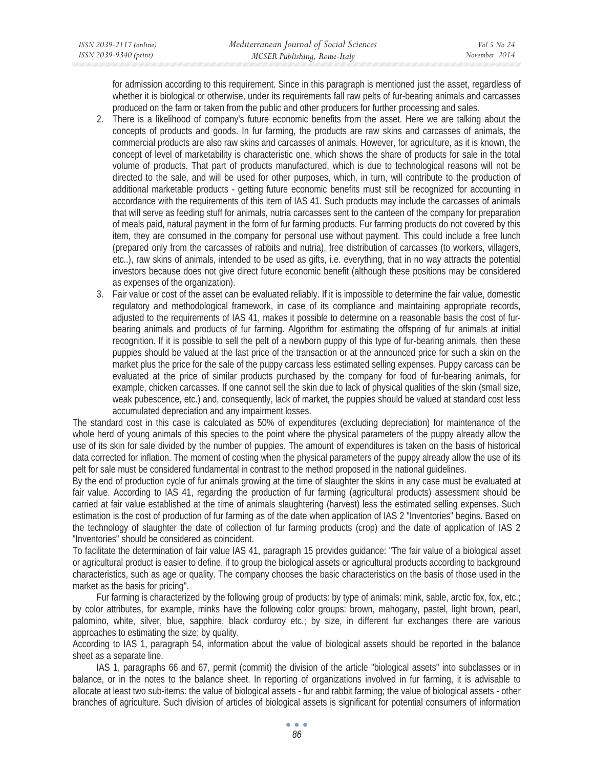for admission according to this requirement. Since in this paragraph is mentioned just the asset, regardless of whether it is biological or otherwise, under its requirements fall raw pelts of fur-bearing animals and carcasses produced on the farm or taken from the public and other producers for further processing and sales.

- 2. There is a likelihood of company's future economic benefits from the asset. Here we are talking about the concepts of products and goods. In fur farming, the products are raw skins and carcasses of animals, the commercial products are also raw skins and carcasses of animals. However, for agriculture, as it is known, the concept of level of marketability is characteristic one, which shows the share of products for sale in the total volume of products. That part of products manufactured, which is due to technological reasons will not be directed to the sale, and will be used for other purposes, which, in turn, will contribute to the production of additional marketable products - getting future economic benefits must still be recognized for accounting in accordance with the requirements of this item of IAS 41. Such products may include the carcasses of animals that will serve as feeding stuff for animals, nutria carcasses sent to the canteen of the company for preparation of meals paid, natural payment in the form of fur farming products. Fur farming products do not covered by this item, they are consumed in the company for personal use without payment. This could include a free lunch (prepared only from the carcasses of rabbits and nutria), free distribution of carcasses (to workers, villagers, etc..), raw skins of animals, intended to be used as gifts, i.e. everything, that in no way attracts the potential investors because does not give direct future economic benefit (although these positions may be considered as expenses of the organization).
- 3. Fair value or cost of the asset can be evaluated reliably. If it is impossible to determine the fair value, domestic regulatory and methodological framework, in case of its compliance and maintaining appropriate records, adjusted to the requirements of IAS 41, makes it possible to determine on a reasonable basis the cost of furbearing animals and products of fur farming. Algorithm for estimating the offspring of fur animals at initial recognition. If it is possible to sell the pelt of a newborn puppy of this type of fur-bearing animals, then these puppies should be valued at the last price of the transaction or at the announced price for such a skin on the market plus the price for the sale of the puppy carcass less estimated selling expenses. Puppy carcass can be evaluated at the price of similar products purchased by the company for food of fur-bearing animals, for example, chicken carcasses. If one cannot sell the skin due to lack of physical qualities of the skin (small size, weak pubescence, etc.) and, consequently, lack of market, the puppies should be valued at standard cost less accumulated depreciation and any impairment losses.

The standard cost in this case is calculated as 50% of expenditures (excluding depreciation) for maintenance of the whole herd of young animals of this species to the point where the physical parameters of the puppy already allow the use of its skin for sale divided by the number of puppies. The amount of expenditures is taken on the basis of historical data corrected for inflation. The moment of costing when the physical parameters of the puppy already allow the use of its pelt for sale must be considered fundamental in contrast to the method proposed in the national guidelines.

By the end of production cycle of fur animals growing at the time of slaughter the skins in any case must be evaluated at fair value. According to IAS 41, regarding the production of fur farming (agricultural products) assessment should be carried at fair value established at the time of animals slaughtering (harvest) less the estimated selling expenses. Such estimation is the cost of production of fur farming as of the date when application of IAS 2 "Inventories" begins. Based on the technology of slaughter the date of collection of fur farming products (crop) and the date of application of IAS 2 "Inventories" should be considered as coincident.

To facilitate the determination of fair value IAS 41, paragraph 15 provides guidance: "The fair value of a biological asset or agricultural product is easier to define, if to group the biological assets or agricultural products according to background characteristics, such as age or quality. The company chooses the basic characteristics on the basis of those used in the market as the basis for pricing".

Fur farming is characterized by the following group of products: by type of animals: mink, sable, arctic fox, fox, etc.; by color attributes, for example, minks have the following color groups: brown, mahogany, pastel, light brown, pearl, palomino, white, silver, blue, sapphire, black corduroy etc.; by size, in different fur exchanges there are various approaches to estimating the size; by quality.

According to IAS 1, paragraph 54, information about the value of biological assets should be reported in the balance sheet as a separate line.

IAS 1, paragraphs 66 and 67, permit (commit) the division of the article "biological assets" into subclasses or in balance, or in the notes to the balance sheet. In reporting of organizations involved in fur farming, it is advisable to allocate at least two sub-items: the value of biological assets - fur and rabbit farming; the value of biological assets - other branches of agriculture. Such division of articles of biological assets is significant for potential consumers of information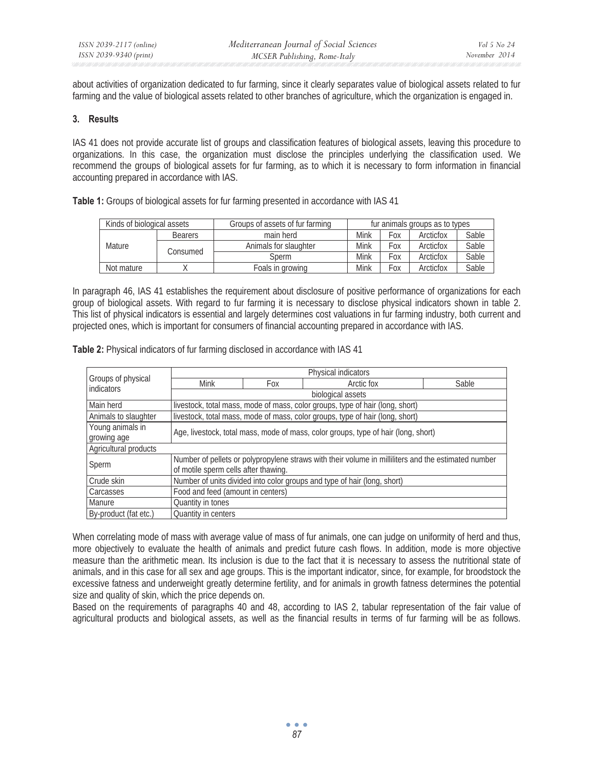about activities of organization dedicated to fur farming, since it clearly separates value of biological assets related to fur farming and the value of biological assets related to other branches of agriculture, which the organization is engaged in.

# **3. Results**

IAS 41 does not provide accurate list of groups and classification features of biological assets, leaving this procedure to organizations. In this case, the organization must disclose the principles underlying the classification used. We recommend the groups of biological assets for fur farming, as to which it is necessary to form information in financial accounting prepared in accordance with IAS.

**Table 1:** Groups of biological assets for fur farming presented in accordance with IAS 41

| Kinds of biological assets |                | Groups of assets of fur farming | fur animals groups as to types |     |           |       |
|----------------------------|----------------|---------------------------------|--------------------------------|-----|-----------|-------|
|                            | <b>Bearers</b> | main herd                       | Mink                           | Fox | Arcticfox | Sable |
| Mature<br>Consumed         |                | Animals for slaughter           | Mink                           | Fox | Arcticfox | Sable |
|                            |                | Sperm                           | Mink                           | Fox | Arcticfox | Sable |
| Not mature                 |                | Foals in growing                | Mink                           | Fox | Arcticfox | Sable |

In paragraph 46, IAS 41 establishes the requirement about disclosure of positive performance of organizations for each group of biological assets. With regard to fur farming it is necessary to disclose physical indicators shown in table 2. This list of physical indicators is essential and largely determines cost valuations in fur farming industry, both current and projected ones, which is important for consumers of financial accounting prepared in accordance with IAS.

**Table 2:** Physical indicators of fur farming disclosed in accordance with IAS 41

|                                  | Physical indicators                                                                                 |            |                                                                          |       |  |  |
|----------------------------------|-----------------------------------------------------------------------------------------------------|------------|--------------------------------------------------------------------------|-------|--|--|
| Groups of physical<br>indicators | <b>Mink</b>                                                                                         | <b>Fox</b> | Arctic fox                                                               | Sable |  |  |
|                                  | biological assets                                                                                   |            |                                                                          |       |  |  |
| Main herd                        | livestock, total mass, mode of mass, color groups, type of hair (long, short)                       |            |                                                                          |       |  |  |
| Animals to slaughter             | livestock, total mass, mode of mass, color groups, type of hair (long, short)                       |            |                                                                          |       |  |  |
| Young animals in                 | Age, livestock, total mass, mode of mass, color groups, type of hair (long, short)                  |            |                                                                          |       |  |  |
| growing age                      |                                                                                                     |            |                                                                          |       |  |  |
| Agricultural products            |                                                                                                     |            |                                                                          |       |  |  |
| Sperm                            | Number of pellets or polypropylene straws with their volume in milliliters and the estimated number |            |                                                                          |       |  |  |
|                                  | of motile sperm cells after thawing.                                                                |            |                                                                          |       |  |  |
| Crude skin                       |                                                                                                     |            | Number of units divided into color groups and type of hair (long, short) |       |  |  |
| Carcasses                        | Food and feed (amount in centers)                                                                   |            |                                                                          |       |  |  |
| Manure                           | Quantity in tones                                                                                   |            |                                                                          |       |  |  |
| By-product (fat etc.)            | Quantity in centers                                                                                 |            |                                                                          |       |  |  |

When correlating mode of mass with average value of mass of fur animals, one can judge on uniformity of herd and thus, more objectively to evaluate the health of animals and predict future cash flows. In addition, mode is more objective measure than the arithmetic mean. Its inclusion is due to the fact that it is necessary to assess the nutritional state of animals, and in this case for all sex and age groups. This is the important indicator, since, for example, for broodstock the excessive fatness and underweight greatly determine fertility, and for animals in growth fatness determines the potential size and quality of skin, which the price depends on.

Based on the requirements of paragraphs 40 and 48, according to IAS 2, tabular representation of the fair value of agricultural products and biological assets, as well as the financial results in terms of fur farming will be as follows.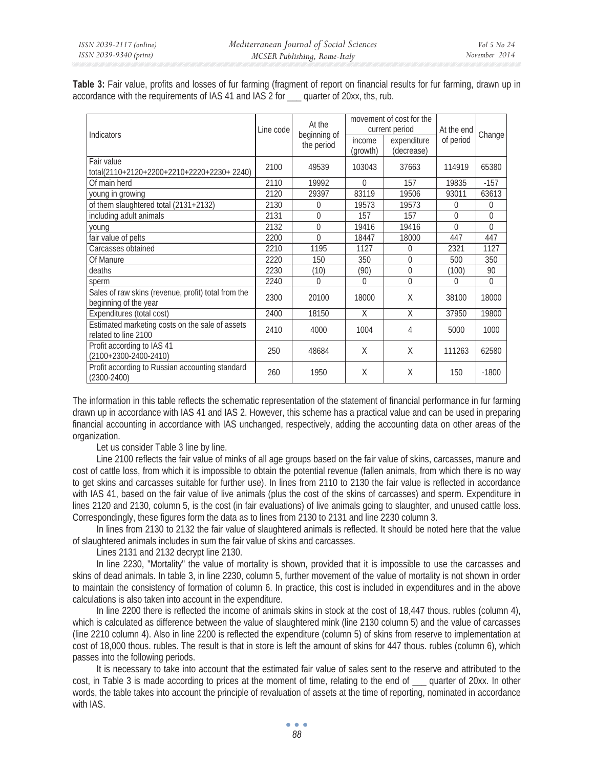**Table 3:** Fair value, profits and losses of fur farming (fragment of report on financial results for fur farming, drawn up in accordance with the requirements of IAS 41 and IAS 2 for \_\_\_ quarter of 20xx, ths, rub.

| Indicators                                                                   | Line code | At the<br>beginning of | movement of cost for the<br>current period |                           | At the end |             |
|------------------------------------------------------------------------------|-----------|------------------------|--------------------------------------------|---------------------------|------------|-------------|
|                                                                              |           | the period             | income<br>(growth)                         | expenditure<br>(decrease) | of period  | Change      |
| Fair value<br>total(2110+2120+2200+2210+2220+2230+2240)                      | 2100      | 49539                  | 103043                                     | 37663                     | 114919     | 65380       |
| Of main herd                                                                 | 2110      | 19992                  | $\Omega$                                   | 157                       | 19835      | $-157$      |
| young in growing                                                             | 2120      | 29397                  | 83119                                      | 19506                     | 93011      | 63613       |
| of them slaughtered total (2131+2132)                                        | 2130      | $\theta$               | 19573                                      | 19573                     | $\Omega$   | $\mathbf 0$ |
| including adult animals                                                      | 2131      | $\theta$               | 157                                        | 157                       | $\theta$   | $\Omega$    |
| young                                                                        | 2132      | $\theta$               | 19416                                      | 19416                     | $\theta$   | $\Omega$    |
| fair value of pelts                                                          | 2200      | $\Omega$               | 18447                                      | 18000                     | 447        | 447         |
| Carcasses obtained                                                           | 2210      | 1195                   | 1127                                       | $\theta$                  | 2321       | 1127        |
| Of Manure                                                                    | 2220      | 150                    | 350                                        | $\theta$                  | 500        | 350         |
| deaths                                                                       | 2230      | (10)                   | (90)                                       | $\mathbf 0$               | (100)      | 90          |
| sperm                                                                        | 2240      | $\Omega$               | $\Omega$                                   | $\theta$                  | $\theta$   | $\Omega$    |
| Sales of raw skins (revenue, profit) total from the<br>beginning of the year | 2300      | 20100                  | 18000                                      | X                         | 38100      | 18000       |
| Expenditures (total cost)                                                    | 2400      | 18150                  | Χ                                          | X                         | 37950      | 19800       |
| Estimated marketing costs on the sale of assets<br>related to line 2100      | 2410      | 4000                   | 1004                                       | 4                         | 5000       | 1000        |
| Profit according to IAS 41<br>$(2100+2300-2400-2410)$                        | 250       | 48684                  | X                                          | X                         | 111263     | 62580       |
| Profit according to Russian accounting standard<br>$(2300 - 2400)$           | 260       | 1950                   | X                                          | X                         | 150        | $-1800$     |

The information in this table reflects the schematic representation of the statement of financial performance in fur farming drawn up in accordance with IAS 41 and IAS 2. However, this scheme has a practical value and can be used in preparing financial accounting in accordance with IAS unchanged, respectively, adding the accounting data on other areas of the organization.

Let us consider Table 3 line by line.

Line 2100 reflects the fair value of minks of all age groups based on the fair value of skins, carcasses, manure and cost of cattle loss, from which it is impossible to obtain the potential revenue (fallen animals, from which there is no way to get skins and carcasses suitable for further use). In lines from 2110 to 2130 the fair value is reflected in accordance with IAS 41, based on the fair value of live animals (plus the cost of the skins of carcasses) and sperm. Expenditure in lines 2120 and 2130, column 5, is the cost (in fair evaluations) of live animals going to slaughter, and unused cattle loss. Correspondingly, these figures form the data as to lines from 2130 to 2131 and line 2230 column 3.

In lines from 2130 to 2132 the fair value of slaughtered animals is reflected. It should be noted here that the value of slaughtered animals includes in sum the fair value of skins and carcasses.

Lines 2131 and 2132 decrypt line 2130.

In line 2230, "Mortality" the value of mortality is shown, provided that it is impossible to use the carcasses and skins of dead animals. In table 3, in line 2230, column 5, further movement of the value of mortality is not shown in order to maintain the consistency of formation of column 6. In practice, this cost is included in expenditures and in the above calculations is also taken into account in the expenditure.

In line 2200 there is reflected the income of animals skins in stock at the cost of 18,447 thous. rubles (column 4), which is calculated as difference between the value of slaughtered mink (line 2130 column 5) and the value of carcasses (line 2210 column 4). Also in line 2200 is reflected the expenditure (column 5) of skins from reserve to implementation at cost of 18,000 thous. rubles. The result is that in store is left the amount of skins for 447 thous. rubles (column 6), which passes into the following periods.

It is necessary to take into account that the estimated fair value of sales sent to the reserve and attributed to the cost, in Table 3 is made according to prices at the moment of time, relating to the end of \_\_\_ quarter of 20xx. In other words, the table takes into account the principle of revaluation of assets at the time of reporting, nominated in accordance with IAS.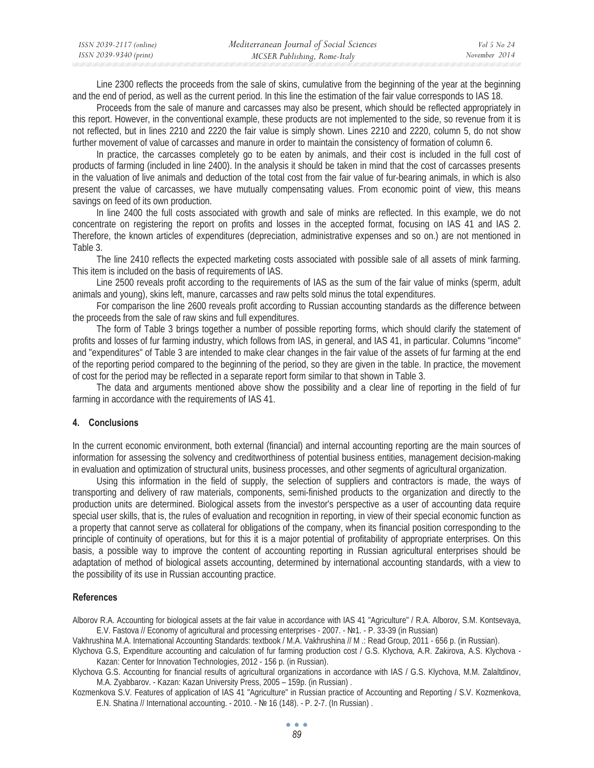| ISSN 2039-2117 (online) | Mediterranean Journal of Social Sciences | Vol 5 No 24   |
|-------------------------|------------------------------------------|---------------|
| ISSN 2039-9340 (print)  | MCSER Publishing, Rome-Italy             | November 2014 |

Line 2300 reflects the proceeds from the sale of skins, cumulative from the beginning of the year at the beginning and the end of period, as well as the current period. In this line the estimation of the fair value corresponds to IAS 18.

Proceeds from the sale of manure and carcasses may also be present, which should be reflected appropriately in this report. However, in the conventional example, these products are not implemented to the side, so revenue from it is not reflected, but in lines 2210 and 2220 the fair value is simply shown. Lines 2210 and 2220, column 5, do not show further movement of value of carcasses and manure in order to maintain the consistency of formation of column 6.

In practice, the carcasses completely go to be eaten by animals, and their cost is included in the full cost of products of farming (included in line 2400). In the analysis it should be taken in mind that the cost of carcasses presents in the valuation of live animals and deduction of the total cost from the fair value of fur-bearing animals, in which is also present the value of carcasses, we have mutually compensating values. From economic point of view, this means savings on feed of its own production.

In line 2400 the full costs associated with growth and sale of minks are reflected. In this example, we do not concentrate on registering the report on profits and losses in the accepted format, focusing on IAS 41 and IAS 2. Therefore, the known articles of expenditures (depreciation, administrative expenses and so on.) are not mentioned in Table 3.

The line 2410 reflects the expected marketing costs associated with possible sale of all assets of mink farming. This item is included on the basis of requirements of IAS.

Line 2500 reveals profit according to the requirements of IAS as the sum of the fair value of minks (sperm, adult animals and young), skins left, manure, carcasses and raw pelts sold minus the total expenditures.

For comparison the line 2600 reveals profit according to Russian accounting standards as the difference between the proceeds from the sale of raw skins and full expenditures.

The form of Table 3 brings together a number of possible reporting forms, which should clarify the statement of profits and losses of fur farming industry, which follows from IAS, in general, and IAS 41, in particular. Columns "income" and "expenditures" of Table 3 are intended to make clear changes in the fair value of the assets of fur farming at the end of the reporting period compared to the beginning of the period, so they are given in the table. In practice, the movement of cost for the period may be reflected in a separate report form similar to that shown in Table 3.

The data and arguments mentioned above show the possibility and a clear line of reporting in the field of fur farming in accordance with the requirements of IAS 41.

# **4. Conclusions**

In the current economic environment, both external (financial) and internal accounting reporting are the main sources of information for assessing the solvency and creditworthiness of potential business entities, management decision-making in evaluation and optimization of structural units, business processes, and other segments of agricultural organization.

Using this information in the field of supply, the selection of suppliers and contractors is made, the ways of transporting and delivery of raw materials, components, semi-finished products to the organization and directly to the production units are determined. Biological assets from the investor's perspective as a user of accounting data require special user skills, that is, the rules of evaluation and recognition in reporting, in view of their special economic function as a property that cannot serve as collateral for obligations of the company, when its financial position corresponding to the principle of continuity of operations, but for this it is a major potential of profitability of appropriate enterprises. On this basis, a possible way to improve the content of accounting reporting in Russian agricultural enterprises should be adaptation of method of biological assets accounting, determined by international accounting standards, with a view to the possibility of its use in Russian accounting practice.

#### **References**

Alborov R.A. Accounting for biological assets at the fair value in accordance with IAS 41 "Agriculture" / R.A. Alborov, S.M. Kontsevaya, E.V. Fastova // Economy of agricultural and processing enterprises - 2007. - №1. - P. 33-39 (in Russian)

Vakhrushina M.A. International Accounting Standards: textbook / M.A. Vakhrushina // M .: Read Group, 2011 - 656 p. (in Russian).

Klychova G.S, Expenditure accounting and calculation of fur farming production cost / G.S. Klychova, A.R. Zakirova, A.S. Klychova - Kazan: Center for Innovation Technologies, 2012 - 156 p. (in Russian).

Klychova G.S. Accounting for financial results of agricultural organizations in accordance with IAS / G.S. Klychova, M.M. Zalaltdinov, M.A. Zyabbarov. - Kazan: Kazan University Press, 2005 – 159p. (in Russian) .

Kozmenkova S.V. Features of application of IAS 41 "Agriculture" in Russian practice of Accounting and Reporting / S.V. Kozmenkova, E.N. Shatina // International accounting. - 2010. - № 16 (148). - P. 2-7. (In Russian).